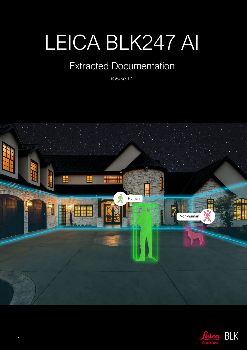# LEICA BLK247 AI

# Extracted Documentation

*Volume 1.0*



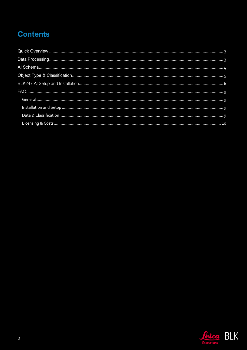# **Contents**

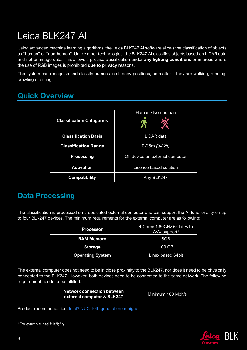# Leica BLK247 AI

Using advanced machine learning algorithms, the Leica BLK247 AI software allows the classification of objects as "human" or "non-human". Unlike other technologies, the BLK247 AI classifies objects based on LiDAR data and not on image data. This allows a precise classification under **any lighting conditions** or in areas where the use of RGB images is prohibited **due to privacy** reasons.

The system can recognise and classify humans in all body positions, no matter if they are walking, running, crawling or sitting.

### <span id="page-2-0"></span>**Quick Overview**

| <b>Classification Categories</b> | Human / Non-human               |  |  |  |  |
|----------------------------------|---------------------------------|--|--|--|--|
| <b>Classification Basis</b>      | LiDAR data                      |  |  |  |  |
| <b>Classification Range</b>      | $0-25m(0-82ft)$                 |  |  |  |  |
| <b>Processing</b>                | Off device on external computer |  |  |  |  |
| <b>Activation</b>                | Licence based solution          |  |  |  |  |
| <b>Compatibility</b>             | Any BLK247                      |  |  |  |  |

### <span id="page-2-1"></span>**Data Processing**

The classification is processed on a dedicated external computer and can support the AI functionality on up to four BLK247 devices. The minimum requirements for the external computer are as following:

| <b>Processor</b>        | 4 Cores 1.60GHz 64 bit with<br>$AVX$ support <sup>1</sup> |  |  |
|-------------------------|-----------------------------------------------------------|--|--|
| <b>RAM Memory</b>       | 8GB                                                       |  |  |
| <b>Storage</b>          | $100$ GB                                                  |  |  |
| <b>Operating System</b> | Linux based 64bit                                         |  |  |

The external computer does not need to be in close proximity to the BLK247, nor does it need to be physically connected to the BLK247. However, both devices need to be connected to the same network. The following requirement needs to be fulfilled:

| <b>Network connection between</b> | Minimum 100 Mbit/s |
|-----------------------------------|--------------------|
| external computer & BLK247        |                    |

Product recommendation: Intel<sup>®</sup> [NUC 10th generation or higher](https://www.intel.com/content/www/us/en/products/details/nuc.html)



<sup>&</sup>lt;sup>1</sup> For example Intel<sup>®</sup> i5/i7/i9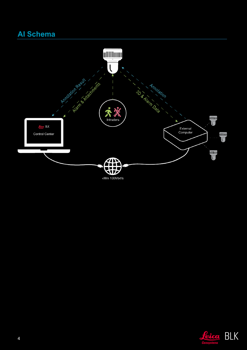### <span id="page-3-0"></span>**Al Schema**



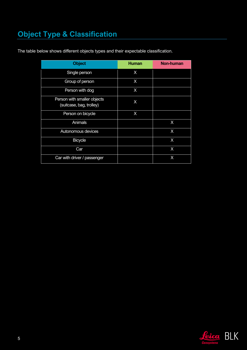# <span id="page-4-0"></span>**Object Type & Classification**

| <b>Object</b>                                           | <b>Human</b> | <b>Non-human</b> |
|---------------------------------------------------------|--------------|------------------|
| Single person                                           | X            |                  |
| Group of person                                         | X            |                  |
| Person with dog                                         | X            |                  |
| Person with smaller objects<br>(suitcase, bag, trolley) | X            |                  |
| Person on bicycle                                       | X            |                  |
| Animals                                                 |              | X                |
| Autonomous devices                                      |              | X                |
| <b>Bicycle</b>                                          |              | X                |
| Car                                                     |              | X                |
| Car with driver / passenger                             |              | X                |

The table below shows different objects types and their expectable classification.

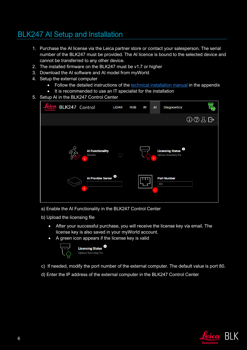### <span id="page-5-0"></span>BLK247 AI Setup and Installation

- 1. Purchase the AI license via the Leica partner store or contact your salesperson. The serial number of the BLK247 must be provided. The AI licence is bound to the selected device and cannot be transferred to any other device.
- 2. The installed firmware on the BLK247 must be v1.7 or higher
- 3. Download the AI software and AI model from myWorld
- 4. Setup the external computer
	- Follow the detailed instructions of the technical installation manual in the appendix
	- It is recommended to use an IT specialist for the installation
- 5. Setup AI in the BLK247 Control Center



- a) Enable the AI Functionality in the BLK247 Control Center
- b) Upload the licensing file
	- After your successful purchase, you will receive the license key via email. The license key is also saved in your myWorld account.
	- A green icon appears if the license key is valid



- c) If needed, modify the port number of the external computer. The default value is port 80.
- d) Enter the IP address of the external computer in the BLK247 Control Center

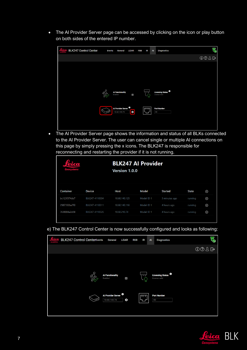• The AI Provider Server page can be accessed by clicking on the icon or play button on both sides of the entered IP number.

| <b>BLK247 Control Center</b> | <b>Events</b> | General                                         | <b>LiDAR</b>    | <b>RGB</b> | <b>IR</b> | AI | <b>Diagnostics</b>                         | る    |
|------------------------------|---------------|-------------------------------------------------|-----------------|------------|-----------|----|--------------------------------------------|------|
|                              |               |                                                 |                 |            |           |    |                                            | 002B |
|                              |               |                                                 |                 |            |           |    |                                            |      |
|                              |               |                                                 |                 |            |           |    |                                            |      |
|                              |               |                                                 |                 |            |           |    |                                            |      |
|                              | $\Omega$      |                                                 |                 |            |           |    |                                            |      |
|                              | 1≿            | <b>Al Functionality</b><br>Enabled              | $\vert$         |            | $\vec{C}$ |    | <b>Licensing Status O</b><br>License valid |      |
|                              |               |                                                 |                 |            |           |    |                                            |      |
|                              |               | Al Provider Server <sup>0</sup><br>10.60.140.74 | $\boxed{\circ}$ |            | $\Box$    |    | <b>Port Number</b><br>80                   |      |
|                              |               |                                                 |                 |            |           |    |                                            |      |
|                              |               |                                                 |                 |            |           |    |                                            |      |

• The AI Provider Server page shows the information and status of all BLKs connected to the AI Provider Server. The user can cancel single or multiple AI connections on this page by simply pressing the x icons. The BLK247 is responsible for reconnecting and restarting the provider if it is not running.

| etan<br><b>Geosystems</b> |                | <b>BLK247 AI Provider</b><br><b>Version 1.0.0</b> |                       |                |         |   |
|---------------------------|----------------|---------------------------------------------------|-----------------------|----------------|---------|---|
| Container                 | <b>Device</b>  | Host                                              | Model                 | <b>Started</b> | State   | ⊛ |
| bc123f374de7              | BLK247-4110304 | 10.60.140.125                                     | Model ID <sub>1</sub> | 3 minutes ago  | running | ⊛ |
| 2987392ba7f0              | BLK247-4110311 | 10.60.140.116                                     | Model ID <sub>1</sub> | 4 hours ago    | running | ⊛ |
| 3fd8004a2a94              | BLK247-4110326 | 10.60.210.74                                      | Model ID 1            | 4 hours ago    | running | ⊛ |
|                           |                |                                                   |                       |                |         |   |

e) The BLK247 Control Center is now successfully configured and looks as following:



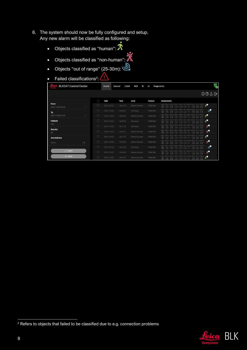- 6. The system should now be fully configured and setup. Any new alarm will be classified as following:
	- Objects classified as "human":  $\mathcal{\hat{R}}$
	- Objects classified as "non-human":
	- Objects "out of range"  $(25-30m)$ :  $\bigotimes_{\mathsf{X}}$
	- Failed classifications<sup>2</sup>:

| <b>BLK247 Control Center</b>       |        | Events     | <b>LiDAR</b><br>General | <b>RGB</b><br>IR     | AI             | $\overline{\Phi}$<br><b>Diagnostics</b>                                                                                                                                                    |
|------------------------------------|--------|------------|-------------------------|----------------------|----------------|--------------------------------------------------------------------------------------------------------------------------------------------------------------------------------------------|
|                                    |        |            |                         |                      |                | 008B                                                                                                                                                                                       |
|                                    | C      | Date       | <b>Time</b>             | Zone                 | <b>Feature</b> | <b>Attachments</b>                                                                                                                                                                         |
| From<br>$\Box$<br>2021/12/02 00:00 | $\Box$ | 2021/12/02 | 14:41:04                | <b>Below Scanner</b> | <b>FENCING</b> | INFO RGB 1 RGB 2 RGB 1 RGB 2 IR 3 Mesh PAN R IR 1 PAN M<br>$\overline{10}$<br>$\odot$<br>888<br>网<br>网<br>□□□◆<br>$\Box$<br>х                                                              |
| To                                 | $\Box$ | 2021/12/02 | 14:40:31                | Far Away             | <b>FENCING</b> | INFO RGB 1<br>IR 3 Mesh PAN R IR 1 PAN M<br>$\text{C}^{\text{c}}_{\text{c}}$<br>$\odot$<br><b>288</b><br>ाख<br>$\Box$<br>ा<br>n                                                            |
| 2021/12/02 23:59<br>$\Box$         | $\Box$ | 2021/12/02 | 14:40:00                | <b>Below Scanner</b> | <b>FENCING</b> | RGB1 RGB2 IR3 Mesh PAN R IR1 PAN M<br>INFO RGB 1<br>20<br><b>2833</b><br>$\odot$<br>$\Box$<br>х<br>网<br>$\Box$                                                                             |
| <b>Feature</b>                     | $\Box$ | 2021/12/02 | 14:35:43                | Far Away             | <b>FENCING</b> | RGB 2 IR 3 Mesh PAN R IR 1 PAN M<br>INFO RGB 1<br>RGB <sub>1</sub><br>50<br>888<br>$\odot$<br>$\sqrt{ }$<br>$\Box 1 \quad \Box 1 \quad \Leftrightarrow$<br>л<br>网<br>$\Box$                |
| Any                                | $\Box$ | 2021/12/02 | 14:31:18                | Far Away             | <b>FENCING</b> | RGB 1 RGB 2 IR 3 Mesh PAN R IR 1 PAN M<br>ه ن<br>$\lbrack \lbrack \mathbb{S} \rbrack \rbrack$<br>$\odot$<br>$\Box 1 \quad \Box 1 \quad \Leftrightarrow$<br>网<br>$\Box$<br>л.<br>$\sqrt{9}$ |
| <b>Results</b><br>20               | $\Box$ | 2021/12/02 | 14:24:31                | <b>Below Scanner</b> | <b>FENCING</b> | RGB 2 IR 3 Mesh PAN R IR 1 PAN M<br>INFO RGB 1<br>RGB <sub>1</sub><br>ு<br>$\odot$<br>888<br>л.<br>ाख<br>$\Box 1 \quad \Box 1 \quad \Leftrightarrow$<br>$\boxtimes$<br>$\Box$              |
| <b>Annotations</b>                 | $\Box$ | 2021/12/02 | 14:21:07                | <b>Below Scanner</b> | <b>FENCING</b> | RGB 1 RGB 2 IR 3 Mesh PAN R IR 1 PAN M<br>INFO RGB 1<br>ه:<br>888<br>х<br>$\circ$<br>$\Box$ 1 $\Box$ 1<br>网<br>$\Box$<br>$\sqrt{9}$                                                        |
| Select<br>$\check{ }$              | $\Box$ | 2021/12/02 | 14:15:54                | <b>Below Scanner</b> | <b>FENCING</b> | RGB 2 IR 3 Mesh PAN R IR 1 PAN M<br>INFO RGB 1<br><b>RGR1</b><br>$\mathbf{x}^{\mathbf{0}}$<br>$\boxtimes \boxtimes \boxtimes$<br>$\circ$<br>ख<br>□□□◆<br>$\sqrt{9}$<br>$\Box$              |
|                                    | $\Box$ | 2021/12/02 | 14:15:29                | Far Away             | <b>FENCING</b> | RGB 2 IR 3 Mesh PAN R IR 1 PAN M<br>INFO RGB 1<br>RGB <sub>1</sub><br>$\text{C}^{\text{c}}_{\text{c}}$<br>888<br>$\odot$<br>$\Box$<br>लि<br>$\Box$<br>$\triangledown$                      |
| $\checkmark$ Search                | $\Box$ | 2021/12/02 | 14:14:04                | <b>Below Scanner</b> | <b>FENCING</b> | RGB 2 IR 3 Mesh PAN R IR 1 PAN M<br>RGB <sub>1</sub><br>$\dot{\mathbb{X}}^{\bullet}$<br>$\odot$<br>R R R<br>网<br>$\Box$<br>$\triangledown$<br><b>n</b>                                     |
| $\times$ Reset                     | $\Box$ | 2021/12/02 | 14:13:37                | <b>Below Scanner</b> | <b>FENCING</b> | RGB 2 IR 3 Mesh PAN R IR 1 PAN M<br>RGB <sub>1</sub><br>$\cdot$ 0<br>888<br>ж<br>$\odot$<br>$\boxdot$<br>$\boxdot$<br>$\Box 1 \quad \Box 1 \quad \Box 1 \quad \Leftrightarrow$             |



<sup>&</sup>lt;sup>2</sup> Refers to objects that failed to be classified due to e.g. connection problems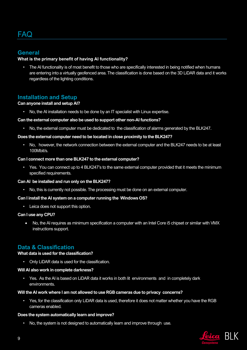#### <span id="page-8-1"></span><span id="page-8-0"></span>**General**

#### **What is the primary benefit of having AI functionality?**

• The AI functionality is of most benefit to those who are specifically interested in being notified when humans are entering into a virtually geofenced area. The classification is done based on the 3D LiDAR data and it works regardless of the lighting conditions.

#### <span id="page-8-2"></span>**Installation and Setup**

#### **Can anyone install and setup AI?**

• No, the AI installation needs to be done by an IT specialist with Linux expertise.

#### **Can the external computer also be used to support other non-AI functions?**

• No, the external computer must be dedicated to the classification of alarms generated by the BLK247.

#### **Does the external computer need to be located in close proximity to the BLK247?**

• No, however, the network connection between the external computer and the BLK247 needs to be at least 100Mbit/s.

#### **Can I connect more than one BLK247 to the external computer?**

• Yes. You can connect up to 4 BLK247's to the same external computer provided that it meets the minimum specified requirements.

#### **Can AI be installed and run only on the BLK247?**

• No, this is currently not possible. The processing must be done on an external computer.

#### **Can I install the AI system on a computer running the Windows OS?**

• Leica does not support this option.

#### **Can I use any CPU?**

• No, the AI requires as minimum specification a computer with an Intel Core i5 chipset or similar with VMX instructions support.

#### <span id="page-8-3"></span>**Data & Classification**

#### **What data is used for the classification?**

• Only LiDAR data is used for the classification.

#### **Will AI also work in complete darkness?**

• Yes. As the AI is based on LiDAR data it works in both lit environments and in completely dark environments.

#### **Will the AI work where I am not allowed to use RGB cameras due to privacy concerns?**

• Yes, for the classification only LiDAR data is used, therefore it does not matter whether you have the RGB cameras enabled.

#### **Does the system automatically learn and improve?**

• No, the system is not designed to automatically learn and improve through use.